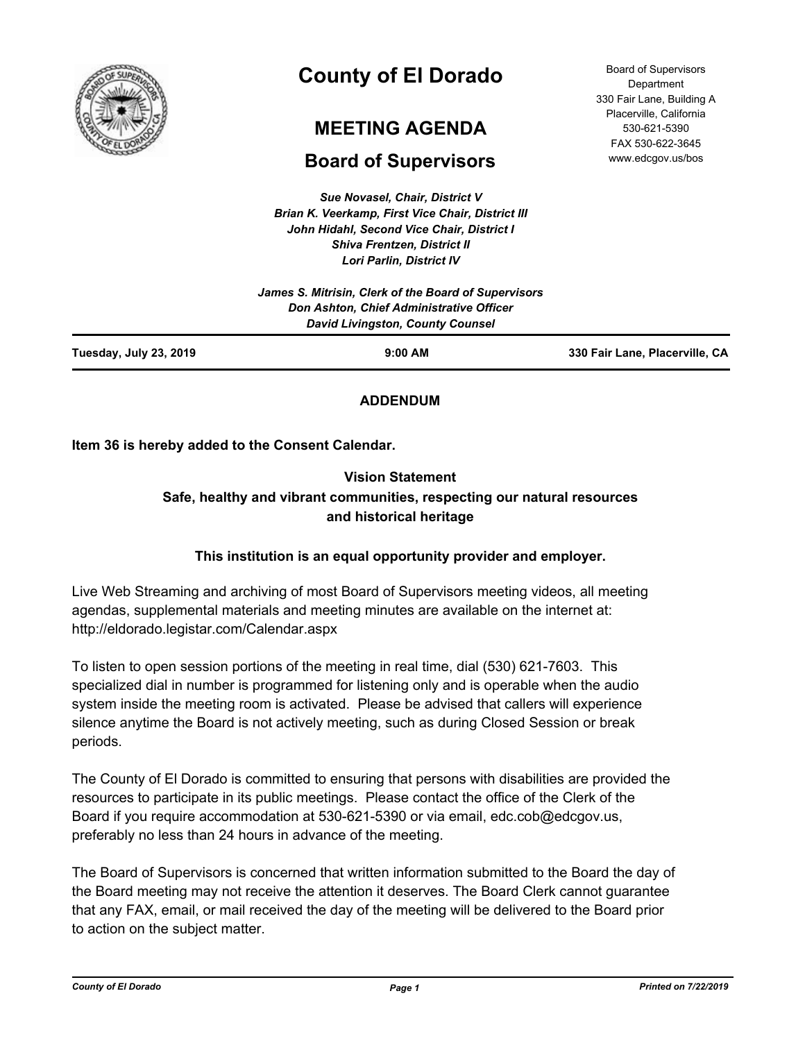

# **County of El Dorado**

# **MEETING AGENDA**

# **Board of Supervisors**

*Sue Novasel, Chair, District V Brian K. Veerkamp, First Vice Chair, District III John Hidahl, Second Vice Chair, District I Shiva Frentzen, District II Lori Parlin, District IV*

Board of Supervisors **Department** 330 Fair Lane, Building A Placerville, California 530-621-5390 FAX 530-622-3645 www.edcgov.us/bos

|                        | James S. Mitrisin, Clerk of the Board of Supervisors<br><b>Don Ashton, Chief Administrative Officer</b><br><b>David Livingston, County Counsel</b> |                                |
|------------------------|----------------------------------------------------------------------------------------------------------------------------------------------------|--------------------------------|
| Tuesday, July 23, 2019 | $9:00$ AM                                                                                                                                          | 330 Fair Lane, Placerville, CA |

## **ADDENDUM**

**Item 36 is hereby added to the Consent Calendar.**

# **Vision Statement Safe, healthy and vibrant communities, respecting our natural resources and historical heritage**

## **This institution is an equal opportunity provider and employer.**

Live Web Streaming and archiving of most Board of Supervisors meeting videos, all meeting agendas, supplemental materials and meeting minutes are available on the internet at: http://eldorado.legistar.com/Calendar.aspx

To listen to open session portions of the meeting in real time, dial (530) 621-7603. This specialized dial in number is programmed for listening only and is operable when the audio system inside the meeting room is activated. Please be advised that callers will experience silence anytime the Board is not actively meeting, such as during Closed Session or break periods.

The County of El Dorado is committed to ensuring that persons with disabilities are provided the resources to participate in its public meetings. Please contact the office of the Clerk of the Board if you require accommodation at 530-621-5390 or via email, edc.cob@edcgov.us, preferably no less than 24 hours in advance of the meeting.

The Board of Supervisors is concerned that written information submitted to the Board the day of the Board meeting may not receive the attention it deserves. The Board Clerk cannot guarantee that any FAX, email, or mail received the day of the meeting will be delivered to the Board prior to action on the subject matter.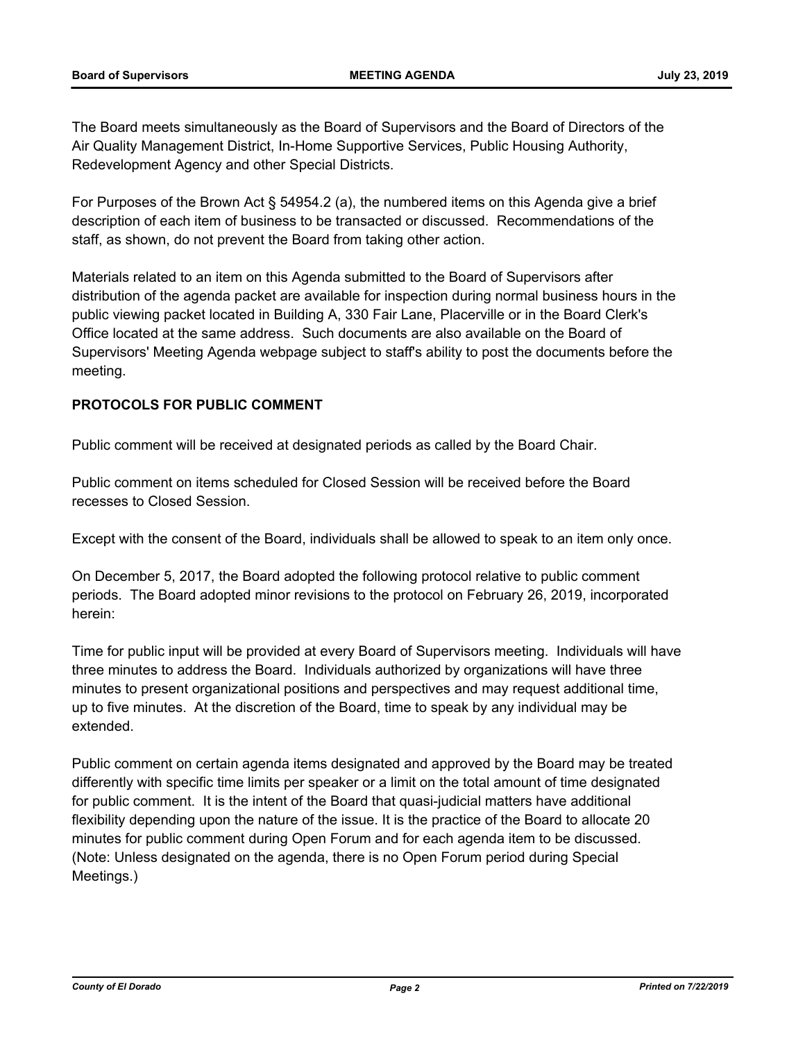The Board meets simultaneously as the Board of Supervisors and the Board of Directors of the Air Quality Management District, In-Home Supportive Services, Public Housing Authority, Redevelopment Agency and other Special Districts.

For Purposes of the Brown Act § 54954.2 (a), the numbered items on this Agenda give a brief description of each item of business to be transacted or discussed. Recommendations of the staff, as shown, do not prevent the Board from taking other action.

Materials related to an item on this Agenda submitted to the Board of Supervisors after distribution of the agenda packet are available for inspection during normal business hours in the public viewing packet located in Building A, 330 Fair Lane, Placerville or in the Board Clerk's Office located at the same address. Such documents are also available on the Board of Supervisors' Meeting Agenda webpage subject to staff's ability to post the documents before the meeting.

## **PROTOCOLS FOR PUBLIC COMMENT**

Public comment will be received at designated periods as called by the Board Chair.

Public comment on items scheduled for Closed Session will be received before the Board recesses to Closed Session.

Except with the consent of the Board, individuals shall be allowed to speak to an item only once.

On December 5, 2017, the Board adopted the following protocol relative to public comment periods. The Board adopted minor revisions to the protocol on February 26, 2019, incorporated herein:

Time for public input will be provided at every Board of Supervisors meeting. Individuals will have three minutes to address the Board. Individuals authorized by organizations will have three minutes to present organizational positions and perspectives and may request additional time, up to five minutes. At the discretion of the Board, time to speak by any individual may be extended.

Public comment on certain agenda items designated and approved by the Board may be treated differently with specific time limits per speaker or a limit on the total amount of time designated for public comment. It is the intent of the Board that quasi-judicial matters have additional flexibility depending upon the nature of the issue. It is the practice of the Board to allocate 20 minutes for public comment during Open Forum and for each agenda item to be discussed. (Note: Unless designated on the agenda, there is no Open Forum period during Special Meetings.)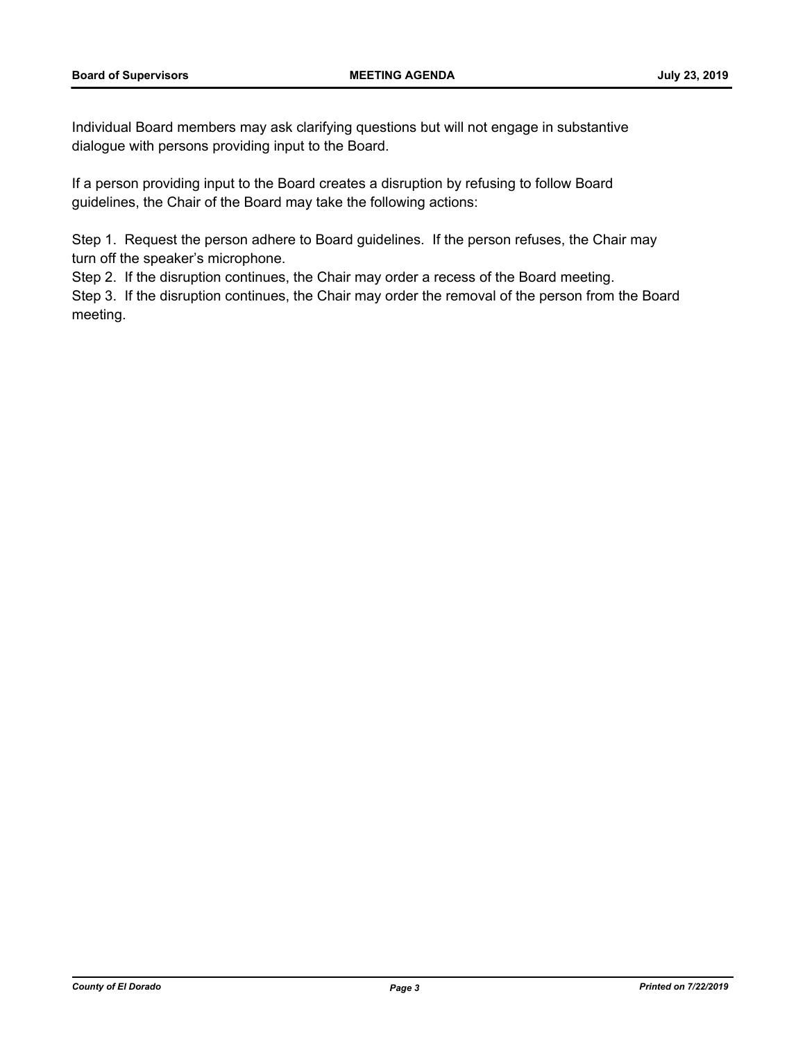Individual Board members may ask clarifying questions but will not engage in substantive dialogue with persons providing input to the Board.

If a person providing input to the Board creates a disruption by refusing to follow Board guidelines, the Chair of the Board may take the following actions:

Step 1. Request the person adhere to Board guidelines. If the person refuses, the Chair may turn off the speaker's microphone.

Step 2. If the disruption continues, the Chair may order a recess of the Board meeting.

Step 3. If the disruption continues, the Chair may order the removal of the person from the Board meeting.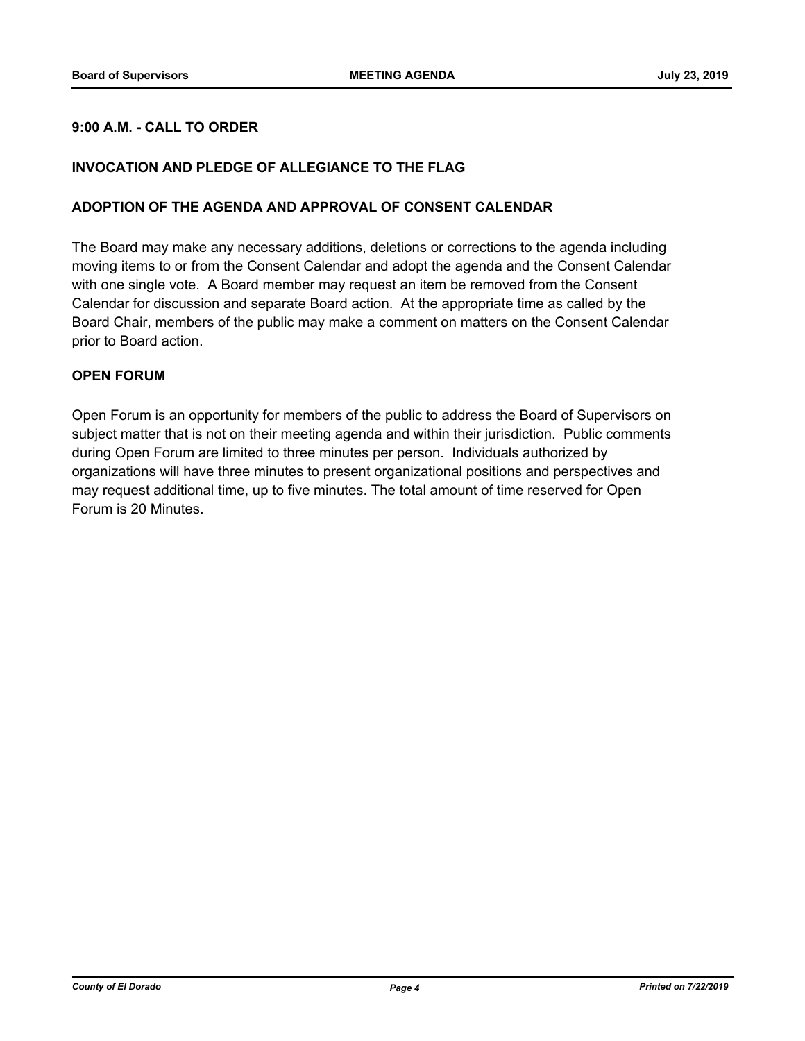## **9:00 A.M. - CALL TO ORDER**

## **INVOCATION AND PLEDGE OF ALLEGIANCE TO THE FLAG**

#### **ADOPTION OF THE AGENDA AND APPROVAL OF CONSENT CALENDAR**

The Board may make any necessary additions, deletions or corrections to the agenda including moving items to or from the Consent Calendar and adopt the agenda and the Consent Calendar with one single vote. A Board member may request an item be removed from the Consent Calendar for discussion and separate Board action. At the appropriate time as called by the Board Chair, members of the public may make a comment on matters on the Consent Calendar prior to Board action.

#### **OPEN FORUM**

Open Forum is an opportunity for members of the public to address the Board of Supervisors on subject matter that is not on their meeting agenda and within their jurisdiction. Public comments during Open Forum are limited to three minutes per person. Individuals authorized by organizations will have three minutes to present organizational positions and perspectives and may request additional time, up to five minutes. The total amount of time reserved for Open Forum is 20 Minutes.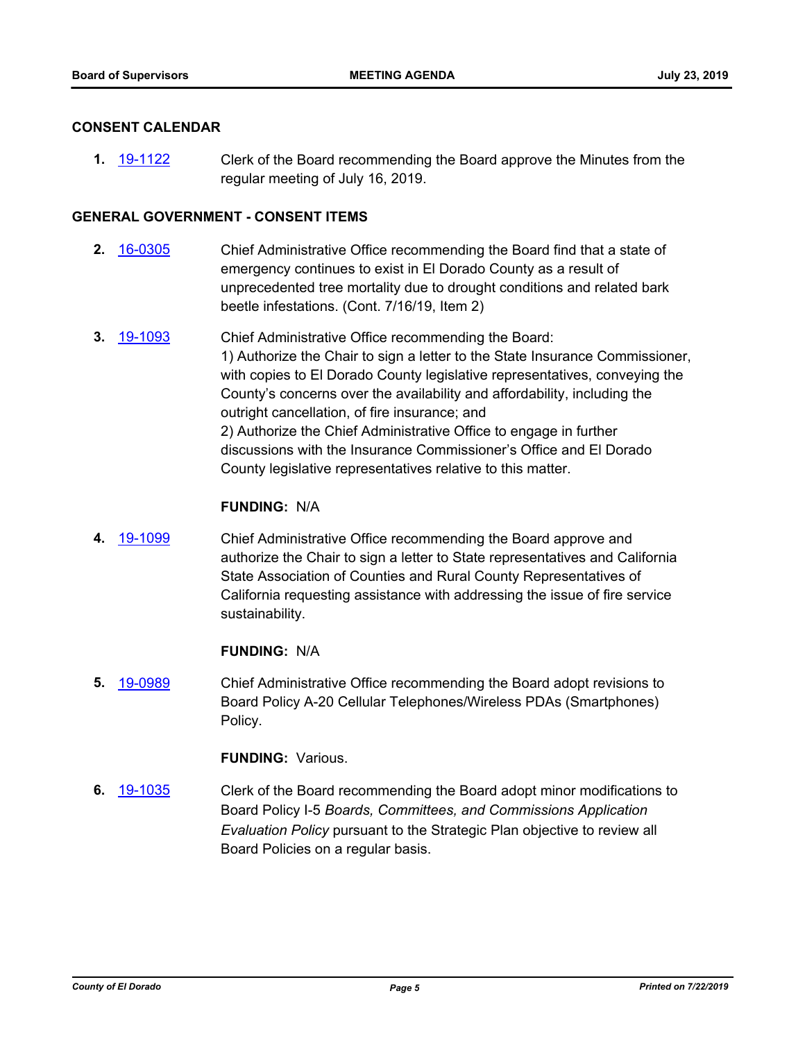#### **CONSENT CALENDAR**

**1.** [19-1122](http://eldorado.legistar.com/gateway.aspx?m=l&id=/matter.aspx?key=26444) Clerk of the Board recommending the Board approve the Minutes from the regular meeting of July 16, 2019.

#### **GENERAL GOVERNMENT - CONSENT ITEMS**

- **2.** [16-0305](http://eldorado.legistar.com/gateway.aspx?m=l&id=/matter.aspx?key=20961) Chief Administrative Office recommending the Board find that a state of emergency continues to exist in El Dorado County as a result of unprecedented tree mortality due to drought conditions and related bark beetle infestations. (Cont. 7/16/19, Item 2)
- **3.** [19-1093](http://eldorado.legistar.com/gateway.aspx?m=l&id=/matter.aspx?key=26415) Chief Administrative Office recommending the Board: 1) Authorize the Chair to sign a letter to the State Insurance Commissioner, with copies to El Dorado County legislative representatives, conveying the County's concerns over the availability and affordability, including the outright cancellation, of fire insurance; and 2) Authorize the Chief Administrative Office to engage in further discussions with the Insurance Commissioner's Office and El Dorado County legislative representatives relative to this matter.

#### **FUNDING:** N/A

**4.** [19-1099](http://eldorado.legistar.com/gateway.aspx?m=l&id=/matter.aspx?key=26421) Chief Administrative Office recommending the Board approve and authorize the Chair to sign a letter to State representatives and California State Association of Counties and Rural County Representatives of California requesting assistance with addressing the issue of fire service sustainability.

#### **FUNDING:** N/A

**5.** [19-0989](http://eldorado.legistar.com/gateway.aspx?m=l&id=/matter.aspx?key=26312) Chief Administrative Office recommending the Board adopt revisions to Board Policy A-20 Cellular Telephones/Wireless PDAs (Smartphones) Policy.

#### **FUNDING:** Various.

**6.** [19-1035](http://eldorado.legistar.com/gateway.aspx?m=l&id=/matter.aspx?key=26357) Clerk of the Board recommending the Board adopt minor modifications to Board Policy I-5 *Boards, Committees, and Commissions Application Evaluation Policy* pursuant to the Strategic Plan objective to review all Board Policies on a regular basis.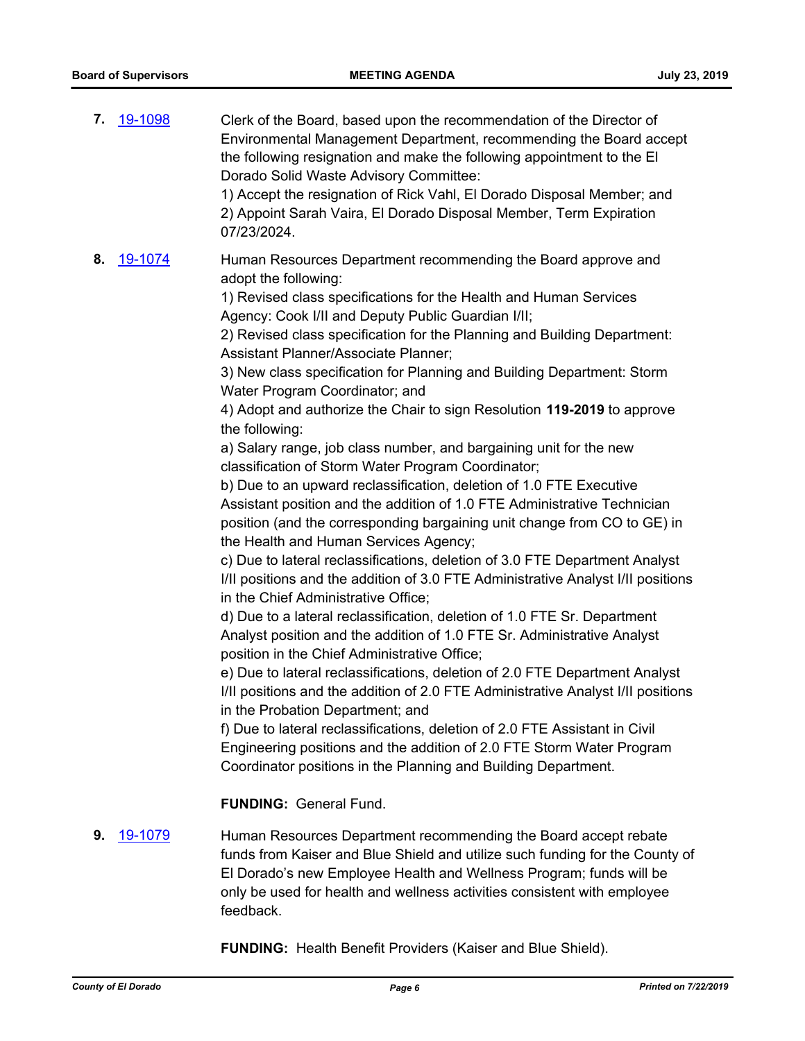| 7. | <u>19-1098</u> | Clerk of the Board, based upon the recommendation of the Director of<br>Environmental Management Department, recommending the Board accept<br>the following resignation and make the following appointment to the El<br>Dorado Solid Waste Advisory Committee:<br>1) Accept the resignation of Rick Vahl, El Dorado Disposal Member; and<br>2) Appoint Sarah Vaira, El Dorado Disposal Member, Term Expiration<br>07/23/2024.                                                                                                                                                                                                                                                                                                                                                                                                                                                                                                                                                                                                                                                                                                                                                                                                                                                                                                                                                                                                                                                                                                                                                                                                                                                                                                                                                                                                        |
|----|----------------|--------------------------------------------------------------------------------------------------------------------------------------------------------------------------------------------------------------------------------------------------------------------------------------------------------------------------------------------------------------------------------------------------------------------------------------------------------------------------------------------------------------------------------------------------------------------------------------------------------------------------------------------------------------------------------------------------------------------------------------------------------------------------------------------------------------------------------------------------------------------------------------------------------------------------------------------------------------------------------------------------------------------------------------------------------------------------------------------------------------------------------------------------------------------------------------------------------------------------------------------------------------------------------------------------------------------------------------------------------------------------------------------------------------------------------------------------------------------------------------------------------------------------------------------------------------------------------------------------------------------------------------------------------------------------------------------------------------------------------------------------------------------------------------------------------------------------------------|
| 8. | 19-1074        | Human Resources Department recommending the Board approve and<br>adopt the following:<br>1) Revised class specifications for the Health and Human Services<br>Agency: Cook I/II and Deputy Public Guardian I/II;<br>2) Revised class specification for the Planning and Building Department:<br>Assistant Planner/Associate Planner;<br>3) New class specification for Planning and Building Department: Storm<br>Water Program Coordinator; and<br>4) Adopt and authorize the Chair to sign Resolution 119-2019 to approve<br>the following:<br>a) Salary range, job class number, and bargaining unit for the new<br>classification of Storm Water Program Coordinator;<br>b) Due to an upward reclassification, deletion of 1.0 FTE Executive<br>Assistant position and the addition of 1.0 FTE Administrative Technician<br>position (and the corresponding bargaining unit change from CO to GE) in<br>the Health and Human Services Agency;<br>c) Due to lateral reclassifications, deletion of 3.0 FTE Department Analyst<br>I/II positions and the addition of 3.0 FTE Administrative Analyst I/II positions<br>in the Chief Administrative Office;<br>d) Due to a lateral reclassification, deletion of 1.0 FTE Sr. Department<br>Analyst position and the addition of 1.0 FTE Sr. Administrative Analyst<br>position in the Chief Administrative Office;<br>e) Due to lateral reclassifications, deletion of 2.0 FTE Department Analyst<br>I/II positions and the addition of 2.0 FTE Administrative Analyst I/II positions<br>in the Probation Department; and<br>f) Due to lateral reclassifications, deletion of 2.0 FTE Assistant in Civil<br>Engineering positions and the addition of 2.0 FTE Storm Water Program<br>Coordinator positions in the Planning and Building Department.<br><b>FUNDING: General Fund.</b> |
| 9. | 19-1079        | Human Resources Department recommending the Board accept rebate<br>funds from Kaiser and Blue Shield and utilize such funding for the County of<br>El Dorado's new Employee Health and Wellness Program; funds will be<br>only be used for health and wellness activities consistent with employee<br>feedback.                                                                                                                                                                                                                                                                                                                                                                                                                                                                                                                                                                                                                                                                                                                                                                                                                                                                                                                                                                                                                                                                                                                                                                                                                                                                                                                                                                                                                                                                                                                      |

**FUNDING:** Health Benefit Providers (Kaiser and Blue Shield).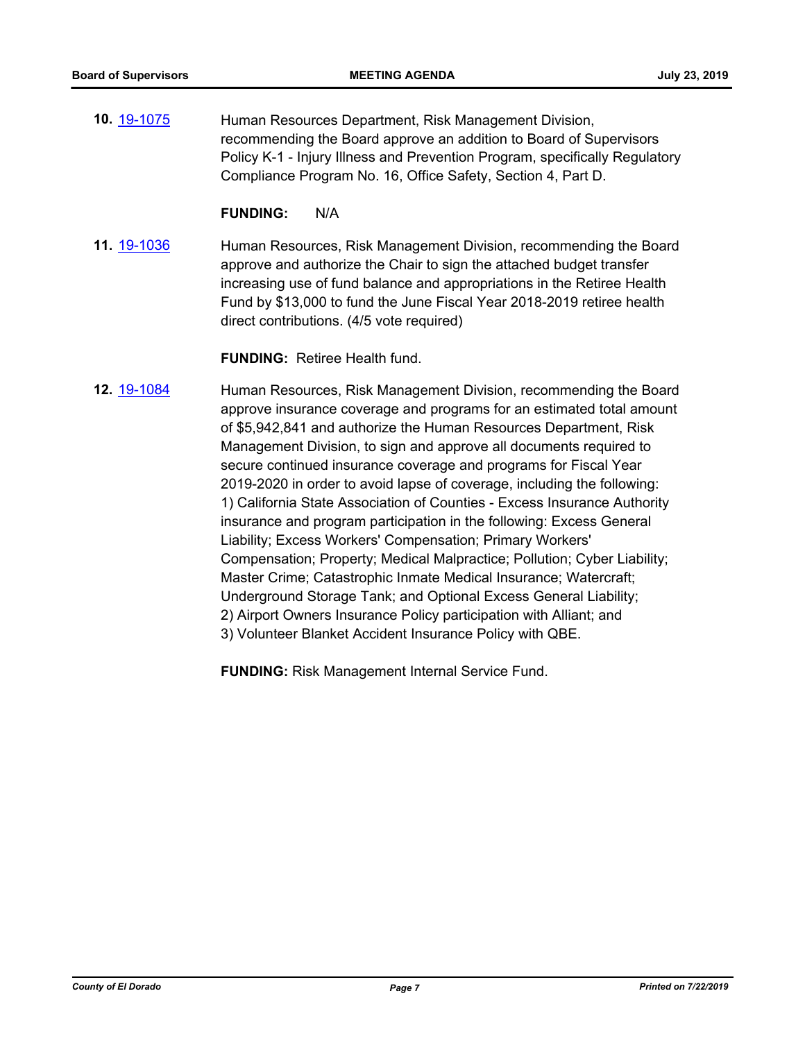**10.** [19-1075](http://eldorado.legistar.com/gateway.aspx?m=l&id=/matter.aspx?key=26397) Human Resources Department, Risk Management Division, recommending the Board approve an addition to Board of Supervisors Policy K-1 - Injury Illness and Prevention Program, specifically Regulatory Compliance Program No. 16, Office Safety, Section 4, Part D.

#### **FUNDING:** N/A

**11.** [19-1036](http://eldorado.legistar.com/gateway.aspx?m=l&id=/matter.aspx?key=26358) Human Resources, Risk Management Division, recommending the Board approve and authorize the Chair to sign the attached budget transfer increasing use of fund balance and appropriations in the Retiree Health Fund by \$13,000 to fund the June Fiscal Year 2018-2019 retiree health direct contributions. (4/5 vote required)

#### **FUNDING:** Retiree Health fund.

**12.** [19-1084](http://eldorado.legistar.com/gateway.aspx?m=l&id=/matter.aspx?key=26406) Human Resources, Risk Management Division, recommending the Board approve insurance coverage and programs for an estimated total amount of \$5,942,841 and authorize the Human Resources Department, Risk Management Division, to sign and approve all documents required to secure continued insurance coverage and programs for Fiscal Year 2019-2020 in order to avoid lapse of coverage, including the following: 1) California State Association of Counties - Excess Insurance Authority insurance and program participation in the following: Excess General Liability; Excess Workers' Compensation; Primary Workers' Compensation; Property; Medical Malpractice; Pollution; Cyber Liability; Master Crime; Catastrophic Inmate Medical Insurance; Watercraft; Underground Storage Tank; and Optional Excess General Liability; 2) Airport Owners Insurance Policy participation with Alliant; and 3) Volunteer Blanket Accident Insurance Policy with QBE.

**FUNDING:** Risk Management Internal Service Fund.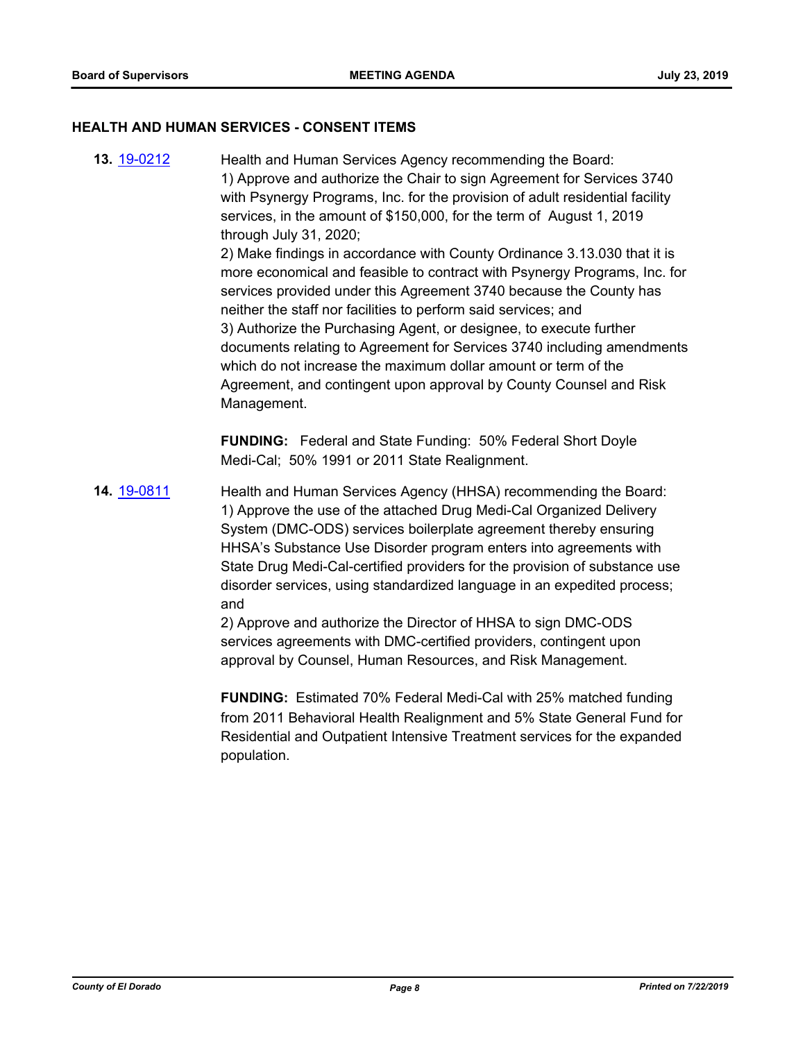#### **HEALTH AND HUMAN SERVICES - CONSENT ITEMS**

**13.** [19-0212](http://eldorado.legistar.com/gateway.aspx?m=l&id=/matter.aspx?key=25532) Health and Human Services Agency recommending the Board: 1) Approve and authorize the Chair to sign Agreement for Services 3740 with Psynergy Programs, Inc. for the provision of adult residential facility services, in the amount of \$150,000, for the term of August 1, 2019 through July 31, 2020; 2) Make findings in accordance with County Ordinance 3.13.030 that it is more economical and feasible to contract with Psynergy Programs, Inc. for services provided under this Agreement 3740 because the County has neither the staff nor facilities to perform said services; and 3) Authorize the Purchasing Agent, or designee, to execute further documents relating to Agreement for Services 3740 including amendments which do not increase the maximum dollar amount or term of the Agreement, and contingent upon approval by County Counsel and Risk Management.

> **FUNDING:** Federal and State Funding: 50% Federal Short Doyle Medi-Cal; 50% 1991 or 2011 State Realignment.

**14.** [19-0811](http://eldorado.legistar.com/gateway.aspx?m=l&id=/matter.aspx?key=26134) Health and Human Services Agency (HHSA) recommending the Board: 1) Approve the use of the attached Drug Medi-Cal Organized Delivery System (DMC-ODS) services boilerplate agreement thereby ensuring HHSA's Substance Use Disorder program enters into agreements with State Drug Medi-Cal-certified providers for the provision of substance use disorder services, using standardized language in an expedited process; and

2) Approve and authorize the Director of HHSA to sign DMC-ODS services agreements with DMC-certified providers, contingent upon approval by Counsel, Human Resources, and Risk Management.

**FUNDING:** Estimated 70% Federal Medi-Cal with 25% matched funding from 2011 Behavioral Health Realignment and 5% State General Fund for Residential and Outpatient Intensive Treatment services for the expanded population.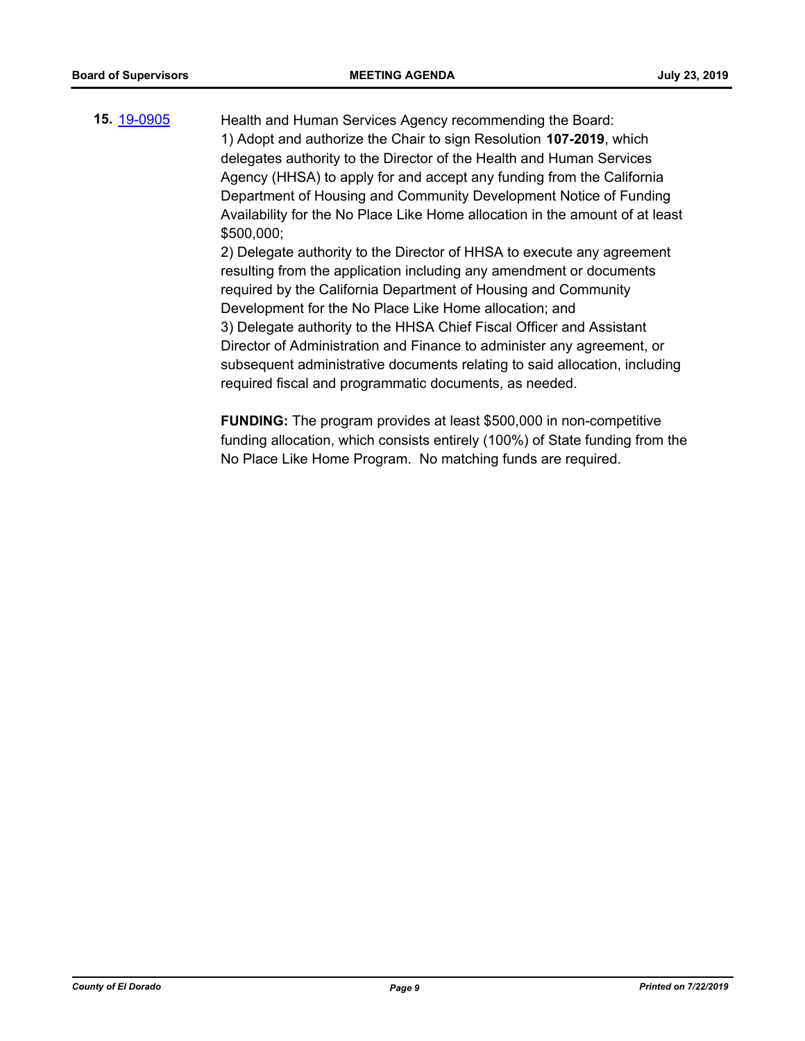**15.** [19-0905](http://eldorado.legistar.com/gateway.aspx?m=l&id=/matter.aspx?key=26228) Health and Human Services Agency recommending the Board: 1) Adopt and authorize the Chair to sign Resolution **107-2019**, which delegates authority to the Director of the Health and Human Services Agency (HHSA) to apply for and accept any funding from the California Department of Housing and Community Development Notice of Funding Availability for the No Place Like Home allocation in the amount of at least \$500,000; 2) Delegate authority to the Director of HHSA to execute any agreement

resulting from the application including any amendment or documents required by the California Department of Housing and Community Development for the No Place Like Home allocation; and 3) Delegate authority to the HHSA Chief Fiscal Officer and Assistant Director of Administration and Finance to administer any agreement, or subsequent administrative documents relating to said allocation, including required fiscal and programmatic documents, as needed.

**FUNDING:** The program provides at least \$500,000 in non-competitive funding allocation, which consists entirely (100%) of State funding from the No Place Like Home Program. No matching funds are required.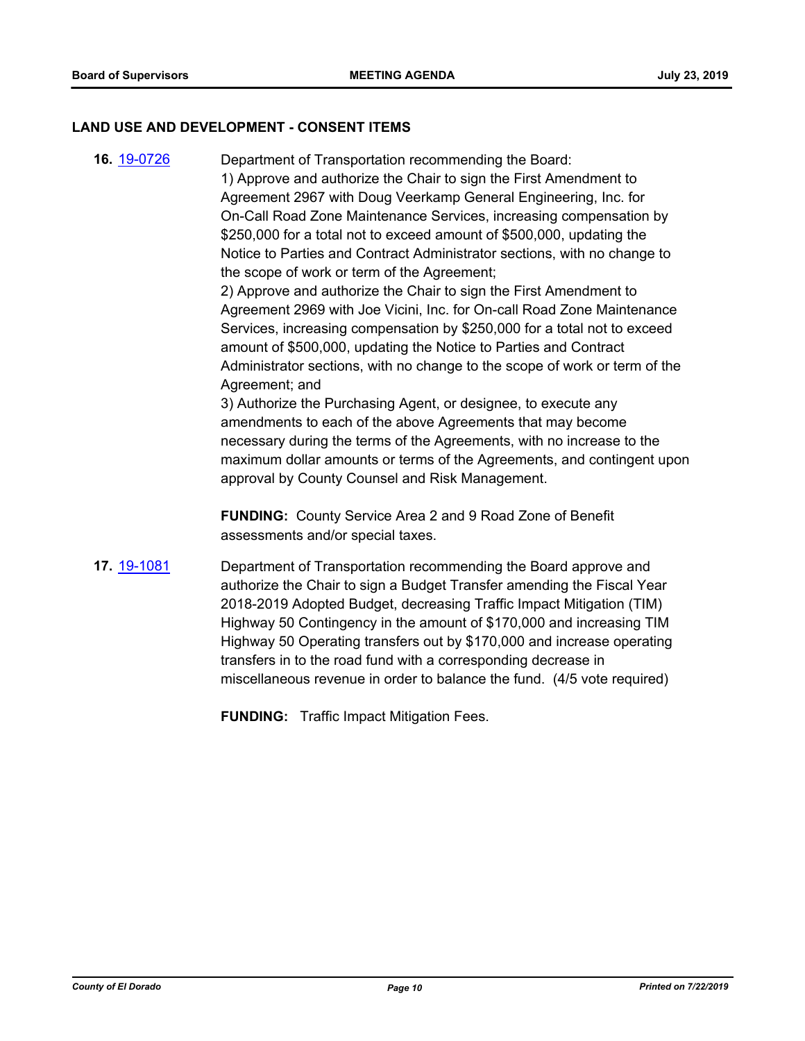#### **LAND USE AND DEVELOPMENT - CONSENT ITEMS**

**16.** [19-0726](http://eldorado.legistar.com/gateway.aspx?m=l&id=/matter.aspx?key=26048) Department of Transportation recommending the Board: 1) Approve and authorize the Chair to sign the First Amendment to Agreement 2967 with Doug Veerkamp General Engineering, Inc. for On-Call Road Zone Maintenance Services, increasing compensation by \$250,000 for a total not to exceed amount of \$500,000, updating the Notice to Parties and Contract Administrator sections, with no change to the scope of work or term of the Agreement;

2) Approve and authorize the Chair to sign the First Amendment to Agreement 2969 with Joe Vicini, Inc. for On-call Road Zone Maintenance Services, increasing compensation by \$250,000 for a total not to exceed amount of \$500,000, updating the Notice to Parties and Contract Administrator sections, with no change to the scope of work or term of the Agreement; and

3) Authorize the Purchasing Agent, or designee, to execute any amendments to each of the above Agreements that may become necessary during the terms of the Agreements, with no increase to the maximum dollar amounts or terms of the Agreements, and contingent upon approval by County Counsel and Risk Management.

**FUNDING:** County Service Area 2 and 9 Road Zone of Benefit assessments and/or special taxes.

**17.** [19-1081](http://eldorado.legistar.com/gateway.aspx?m=l&id=/matter.aspx?key=26403) Department of Transportation recommending the Board approve and authorize the Chair to sign a Budget Transfer amending the Fiscal Year 2018-2019 Adopted Budget, decreasing Traffic Impact Mitigation (TIM) Highway 50 Contingency in the amount of \$170,000 and increasing TIM Highway 50 Operating transfers out by \$170,000 and increase operating transfers in to the road fund with a corresponding decrease in miscellaneous revenue in order to balance the fund. (4/5 vote required)

**FUNDING:** Traffic Impact Mitigation Fees.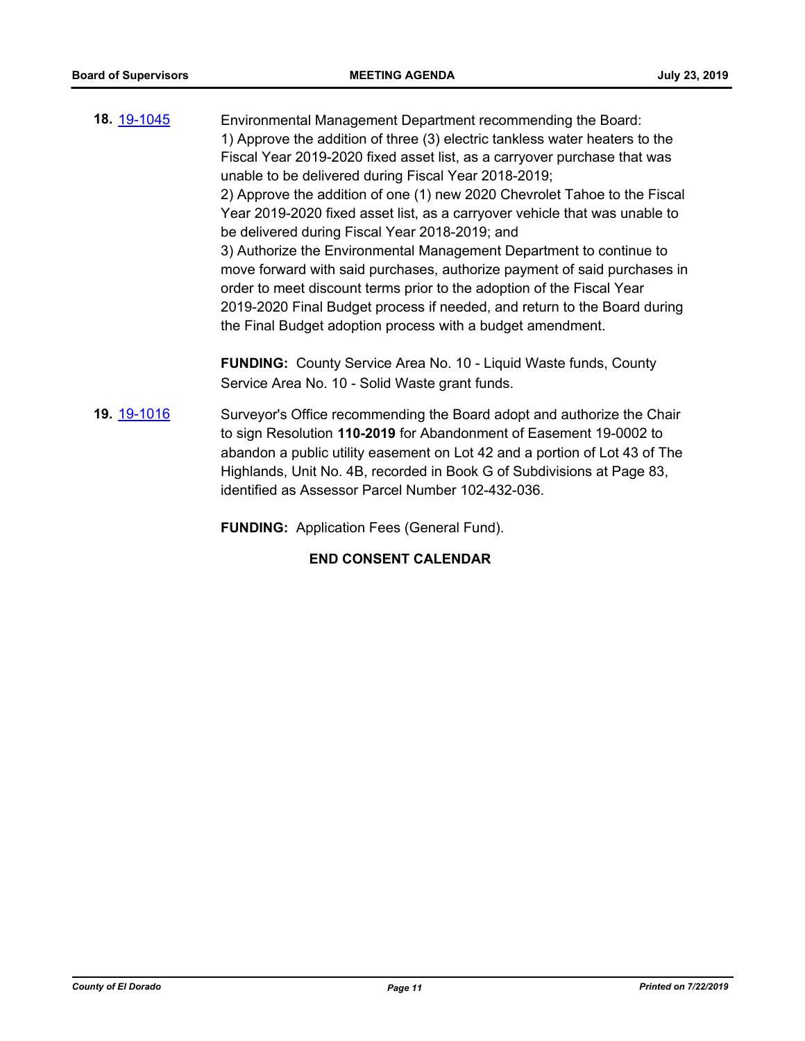- **18.** [19-1045](http://eldorado.legistar.com/gateway.aspx?m=l&id=/matter.aspx?key=26367) Environmental Management Department recommending the Board: 1) Approve the addition of three (3) electric tankless water heaters to the Fiscal Year 2019-2020 fixed asset list, as a carryover purchase that was unable to be delivered during Fiscal Year 2018-2019; 2) Approve the addition of one (1) new 2020 Chevrolet Tahoe to the Fiscal Year 2019-2020 fixed asset list, as a carryover vehicle that was unable to be delivered during Fiscal Year 2018-2019; and 3) Authorize the Environmental Management Department to continue to move forward with said purchases, authorize payment of said purchases in order to meet discount terms prior to the adoption of the Fiscal Year 2019-2020 Final Budget process if needed, and return to the Board during the Final Budget adoption process with a budget amendment. **FUNDING:** County Service Area No. 10 - Liquid Waste funds, County Service Area No. 10 - Solid Waste grant funds.
- **19.** [19-1016](http://eldorado.legistar.com/gateway.aspx?m=l&id=/matter.aspx?key=26338) Surveyor's Office recommending the Board adopt and authorize the Chair to sign Resolution **110-2019** for Abandonment of Easement 19-0002 to abandon a public utility easement on Lot 42 and a portion of Lot 43 of The Highlands, Unit No. 4B, recorded in Book G of Subdivisions at Page 83, identified as Assessor Parcel Number 102-432-036.

**FUNDING:** Application Fees (General Fund).

## **END CONSENT CALENDAR**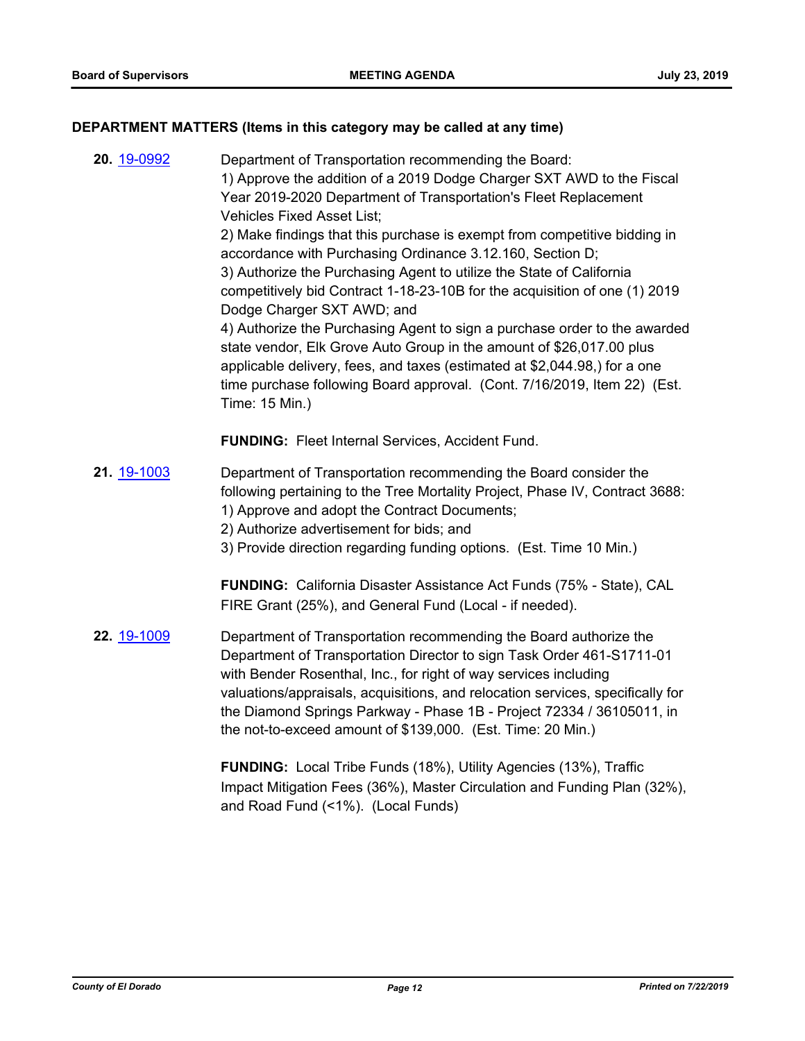#### **DEPARTMENT MATTERS (Items in this category may be called at any time)**

**20.** [19-0992](http://eldorado.legistar.com/gateway.aspx?m=l&id=/matter.aspx?key=26315) Department of Transportation recommending the Board: 1) Approve the addition of a 2019 Dodge Charger SXT AWD to the Fiscal Year 2019-2020 Department of Transportation's Fleet Replacement Vehicles Fixed Asset List; 2) Make findings that this purchase is exempt from competitive bidding in accordance with Purchasing Ordinance 3.12.160, Section D; 3) Authorize the Purchasing Agent to utilize the State of California competitively bid Contract 1-18-23-10B for the acquisition of one (1) 2019 Dodge Charger SXT AWD; and 4) Authorize the Purchasing Agent to sign a purchase order to the awarded state vendor, Elk Grove Auto Group in the amount of \$26,017.00 plus applicable delivery, fees, and taxes (estimated at \$2,044.98,) for a one time purchase following Board approval. (Cont. 7/16/2019, Item 22) (Est. Time: 15 Min.) **FUNDING:** Fleet Internal Services, Accident Fund. **21.** [19-1003](http://eldorado.legistar.com/gateway.aspx?m=l&id=/matter.aspx?key=26325) Department of Transportation recommending the Board consider the following pertaining to the Tree Mortality Project, Phase IV, Contract 3688: 1) Approve and adopt the Contract Documents; 2) Authorize advertisement for bids; and 3) Provide direction regarding funding options. (Est. Time 10 Min.) **FUNDING:** California Disaster Assistance Act Funds (75% - State), CAL FIRE Grant (25%), and General Fund (Local - if needed). **22.** [19-1009](http://eldorado.legistar.com/gateway.aspx?m=l&id=/matter.aspx?key=26331) Department of Transportation recommending the Board authorize the Department of Transportation Director to sign Task Order 461-S1711-01 with Bender Rosenthal, Inc., for right of way services including valuations/appraisals, acquisitions, and relocation services, specifically for the Diamond Springs Parkway - Phase 1B - Project 72334 / 36105011, in the not-to-exceed amount of \$139,000. (Est. Time: 20 Min.) **FUNDING:** Local Tribe Funds (18%), Utility Agencies (13%), Traffic Impact Mitigation Fees (36%), Master Circulation and Funding Plan (32%),

and Road Fund (<1%). (Local Funds)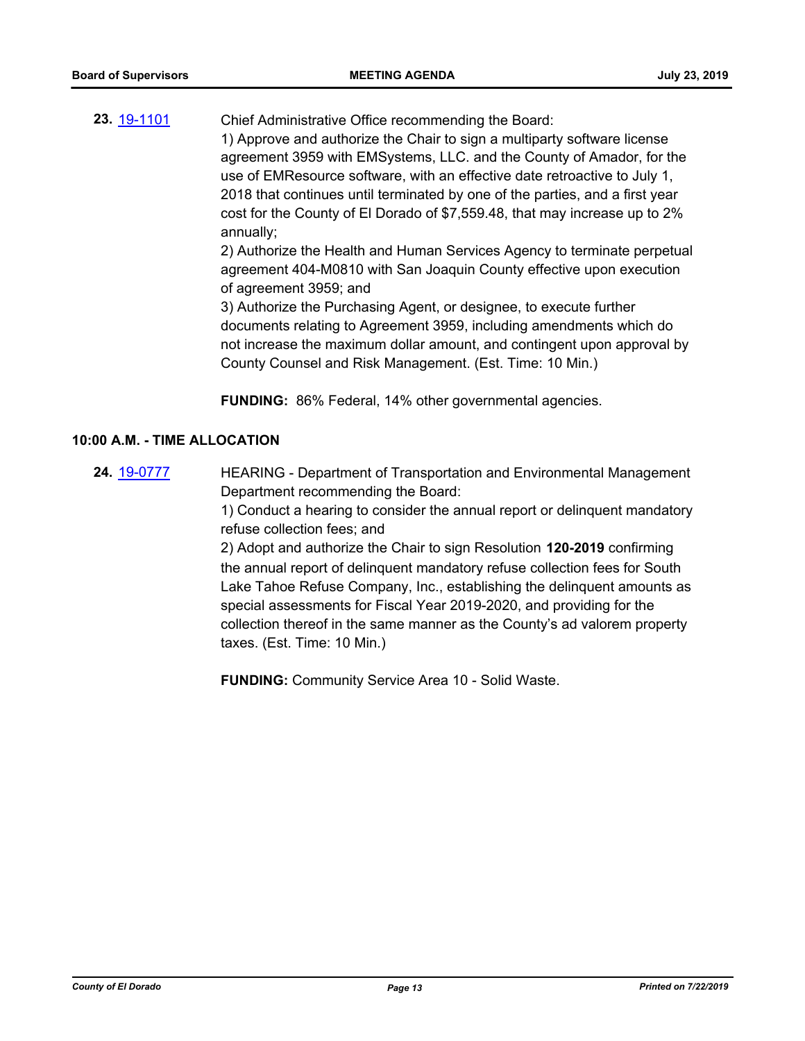**23.** [19-1101](http://eldorado.legistar.com/gateway.aspx?m=l&id=/matter.aspx?key=26423) Chief Administrative Office recommending the Board: 1) Approve and authorize the Chair to sign a multiparty software license agreement 3959 with EMSystems, LLC. and the County of Amador, for the use of EMResource software, with an effective date retroactive to July 1, 2018 that continues until terminated by one of the parties, and a first year cost for the County of El Dorado of \$7,559.48, that may increase up to 2% annually; 2) Authorize the Health and Human Services Agency to terminate perpetual agreement 404-M0810 with San Joaquin County effective upon execution

> of agreement 3959; and 3) Authorize the Purchasing Agent, or designee, to execute further documents relating to Agreement 3959, including amendments which do not increase the maximum dollar amount, and contingent upon approval by County Counsel and Risk Management. (Est. Time: 10 Min.)

**FUNDING:** 86% Federal, 14% other governmental agencies.

#### **10:00 A.M. - TIME ALLOCATION**

**24.** [19-0777](http://eldorado.legistar.com/gateway.aspx?m=l&id=/matter.aspx?key=26099) HEARING - Department of Transportation and Environmental Management Department recommending the Board:

> 1) Conduct a hearing to consider the annual report or delinquent mandatory refuse collection fees; and

> 2) Adopt and authorize the Chair to sign Resolution **120-2019** confirming the annual report of delinquent mandatory refuse collection fees for South Lake Tahoe Refuse Company, Inc., establishing the delinquent amounts as special assessments for Fiscal Year 2019-2020, and providing for the collection thereof in the same manner as the County's ad valorem property taxes. (Est. Time: 10 Min.)

**FUNDING:** Community Service Area 10 - Solid Waste.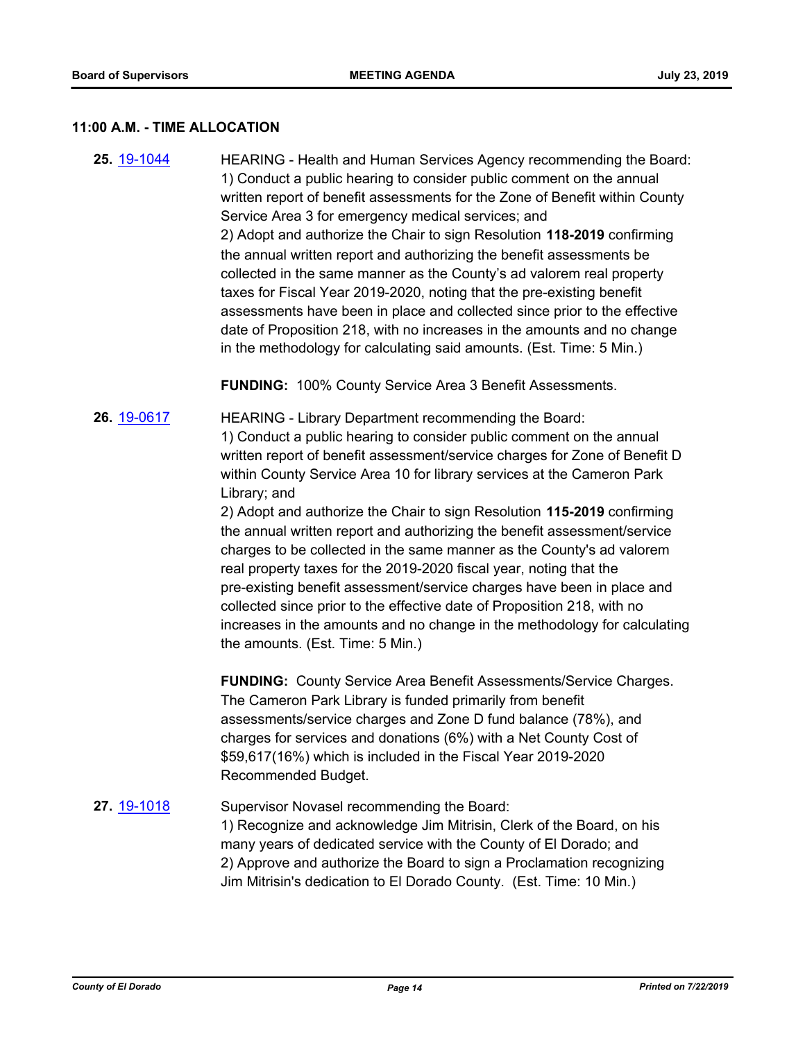#### **11:00 A.M. - TIME ALLOCATION**

**25.** [19-1044](http://eldorado.legistar.com/gateway.aspx?m=l&id=/matter.aspx?key=26366) HEARING - Health and Human Services Agency recommending the Board: 1) Conduct a public hearing to consider public comment on the annual written report of benefit assessments for the Zone of Benefit within County Service Area 3 for emergency medical services; and 2) Adopt and authorize the Chair to sign Resolution **118-2019** confirming the annual written report and authorizing the benefit assessments be collected in the same manner as the County's ad valorem real property taxes for Fiscal Year 2019-2020, noting that the pre-existing benefit assessments have been in place and collected since prior to the effective date of Proposition 218, with no increases in the amounts and no change in the methodology for calculating said amounts. (Est. Time: 5 Min.)

**FUNDING:** 100% County Service Area 3 Benefit Assessments.

**26.** [19-0617](http://eldorado.legistar.com/gateway.aspx?m=l&id=/matter.aspx?key=25938) HEARING - Library Department recommending the Board: 1) Conduct a public hearing to consider public comment on the annual written report of benefit assessment/service charges for Zone of Benefit D within County Service Area 10 for library services at the Cameron Park Library; and

2) Adopt and authorize the Chair to sign Resolution **115-2019** confirming the annual written report and authorizing the benefit assessment/service charges to be collected in the same manner as the County's ad valorem real property taxes for the 2019-2020 fiscal year, noting that the pre-existing benefit assessment/service charges have been in place and collected since prior to the effective date of Proposition 218, with no increases in the amounts and no change in the methodology for calculating the amounts. (Est. Time: 5 Min.)

**FUNDING:** County Service Area Benefit Assessments/Service Charges. The Cameron Park Library is funded primarily from benefit assessments/service charges and Zone D fund balance (78%), and charges for services and donations (6%) with a Net County Cost of \$59,617(16%) which is included in the Fiscal Year 2019-2020 Recommended Budget.

## 27. **[19-1018](http://eldorado.legistar.com/gateway.aspx?m=l&id=/matter.aspx?key=26340)** Supervisor Novasel recommending the Board: 1) Recognize and acknowledge Jim Mitrisin, Clerk of the Board, on his many years of dedicated service with the County of El Dorado; and 2) Approve and authorize the Board to sign a Proclamation recognizing Jim Mitrisin's dedication to El Dorado County. (Est. Time: 10 Min.)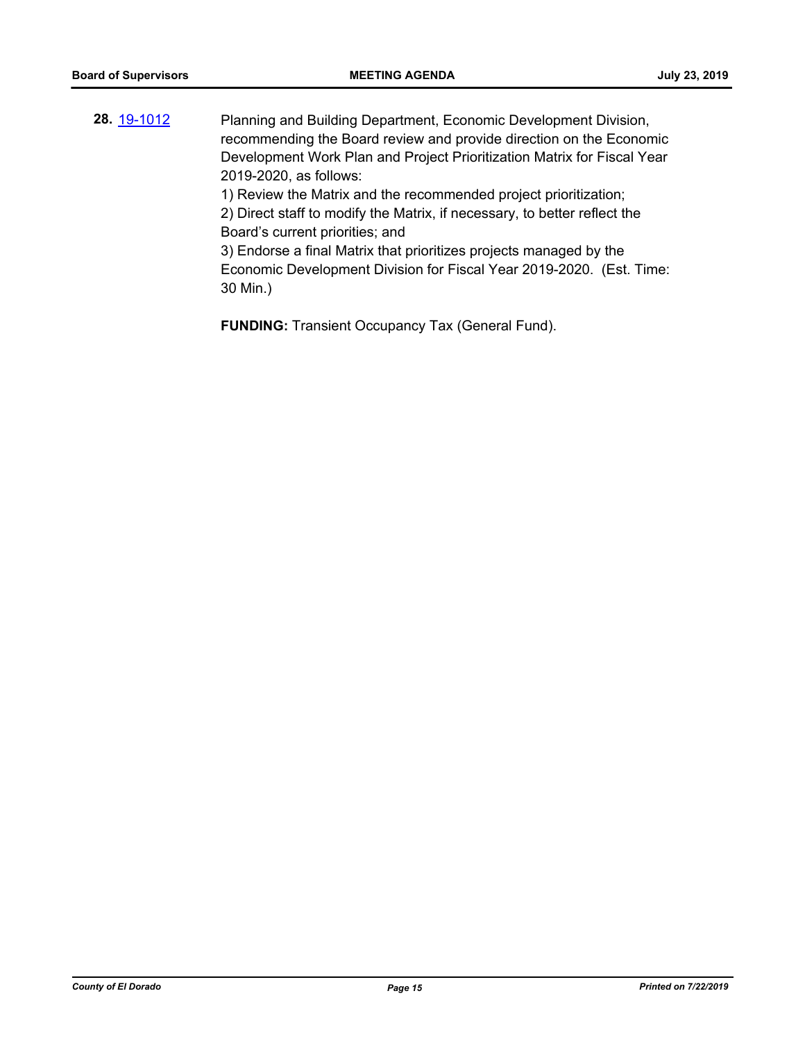**28.** [19-1012](http://eldorado.legistar.com/gateway.aspx?m=l&id=/matter.aspx?key=26334) Planning and Building Department, Economic Development Division, recommending the Board review and provide direction on the Economic Development Work Plan and Project Prioritization Matrix for Fiscal Year 2019-2020, as follows: 1) Review the Matrix and the recommended project prioritization; 2) Direct staff to modify the Matrix, if necessary, to better reflect the Board's current priorities; and 3) Endorse a final Matrix that prioritizes projects managed by the

Economic Development Division for Fiscal Year 2019-2020. (Est. Time: 30 Min.)

**FUNDING:** Transient Occupancy Tax (General Fund).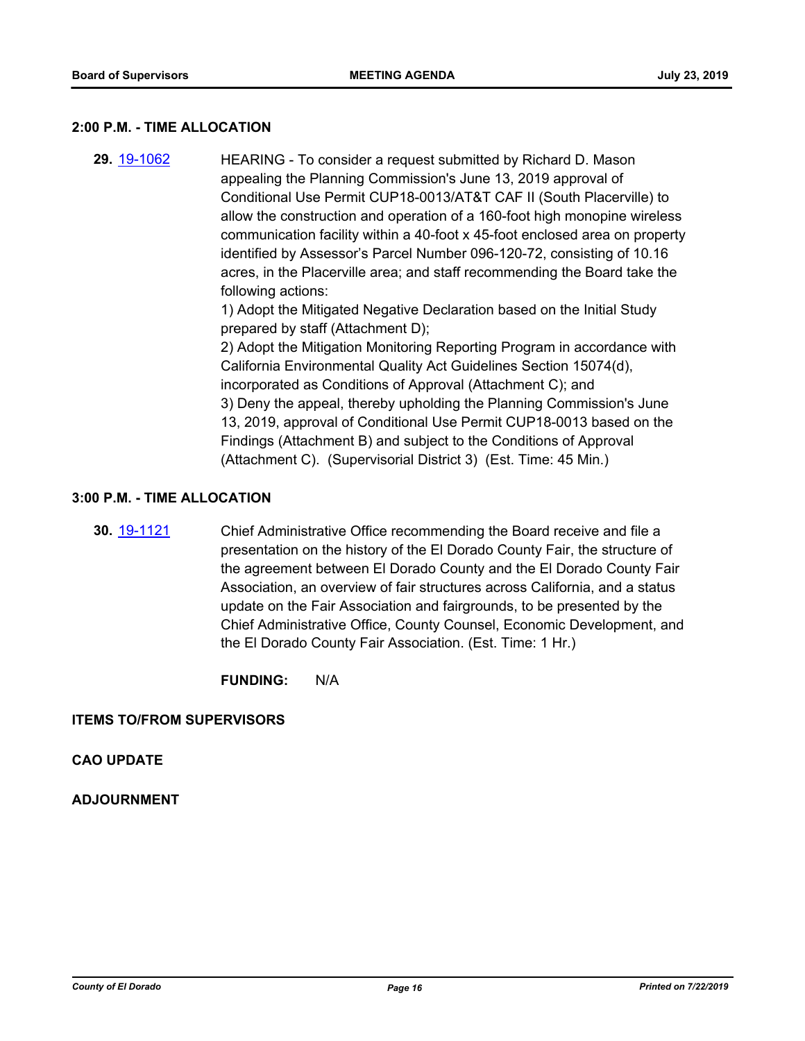#### **2:00 P.M. - TIME ALLOCATION**

**29.** [19-1062](http://eldorado.legistar.com/gateway.aspx?m=l&id=/matter.aspx?key=26384) HEARING - To consider a request submitted by Richard D. Mason appealing the Planning Commission's June 13, 2019 approval of Conditional Use Permit CUP18-0013/AT&T CAF II (South Placerville) to allow the construction and operation of a 160-foot high monopine wireless communication facility within a 40-foot x 45-foot enclosed area on property identified by Assessor's Parcel Number 096-120-72, consisting of 10.16 acres, in the Placerville area; and staff recommending the Board take the following actions:

1) Adopt the Mitigated Negative Declaration based on the Initial Study prepared by staff (Attachment D);

2) Adopt the Mitigation Monitoring Reporting Program in accordance with California Environmental Quality Act Guidelines Section 15074(d), incorporated as Conditions of Approval (Attachment C); and 3) Deny the appeal, thereby upholding the Planning Commission's June 13, 2019, approval of Conditional Use Permit CUP18-0013 based on the Findings (Attachment B) and subject to the Conditions of Approval (Attachment C). (Supervisorial District 3) (Est. Time: 45 Min.)

## **3:00 P.M. - TIME ALLOCATION**

**30.** [19-1121](http://eldorado.legistar.com/gateway.aspx?m=l&id=/matter.aspx?key=26443) Chief Administrative Office recommending the Board receive and file a presentation on the history of the El Dorado County Fair, the structure of the agreement between El Dorado County and the El Dorado County Fair Association, an overview of fair structures across California, and a status update on the Fair Association and fairgrounds, to be presented by the Chief Administrative Office, County Counsel, Economic Development, and the El Dorado County Fair Association. (Est. Time: 1 Hr.)

**FUNDING:** N/A

#### **ITEMS TO/FROM SUPERVISORS**

## **CAO UPDATE**

## **ADJOURNMENT**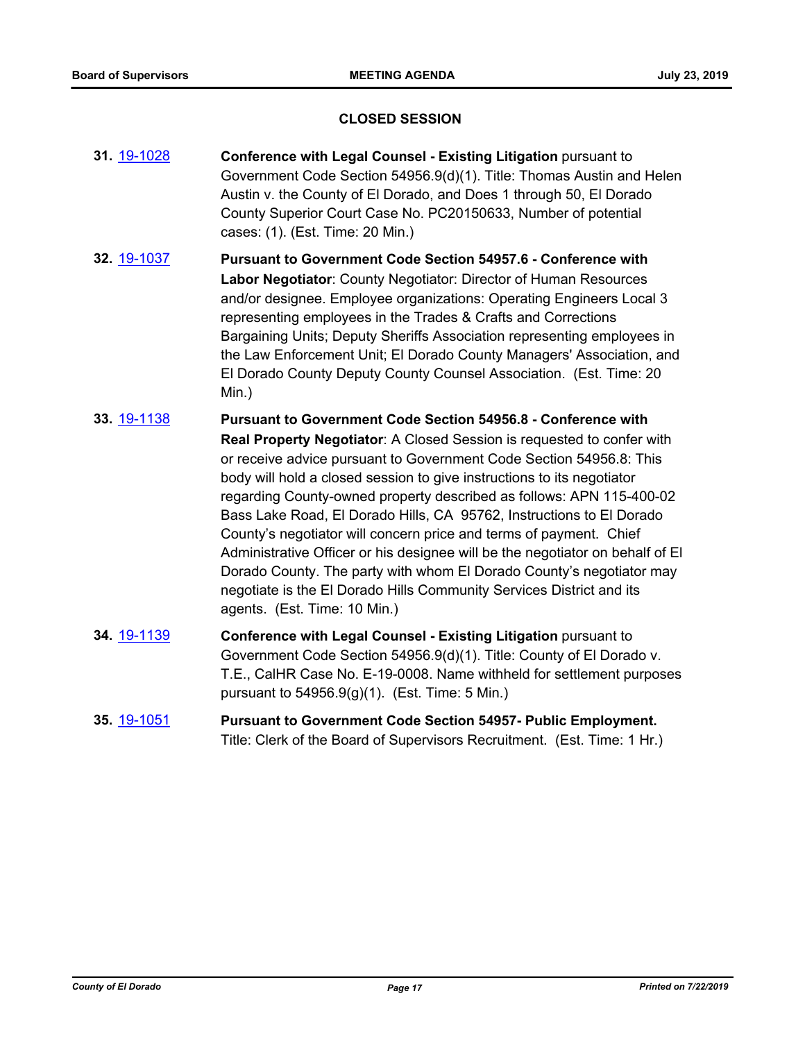#### **CLOSED SESSION**

**31.** [19-1028](http://eldorado.legistar.com/gateway.aspx?m=l&id=/matter.aspx?key=26350) **Conference with Legal Counsel - Existing Litigation** pursuant to Government Code Section 54956.9(d)(1). Title: Thomas Austin and Helen Austin v. the County of El Dorado, and Does 1 through 50, El Dorado County Superior Court Case No. PC20150633, Number of potential cases: (1). (Est. Time: 20 Min.) **32.** [19-1037](http://eldorado.legistar.com/gateway.aspx?m=l&id=/matter.aspx?key=26359) **Pursuant to Government Code Section 54957.6 - Conference with Labor Negotiator**: County Negotiator: Director of Human Resources and/or designee. Employee organizations: Operating Engineers Local 3

representing employees in the Trades & Crafts and Corrections Bargaining Units; Deputy Sheriffs Association representing employees in the Law Enforcement Unit; El Dorado County Managers' Association, and El Dorado County Deputy County Counsel Association. (Est. Time: 20 Min.)

- **33.** [19-1138](http://eldorado.legistar.com/gateway.aspx?m=l&id=/matter.aspx?key=26460) **Pursuant to Government Code Section 54956.8 Conference with Real Property Negotiator**: A Closed Session is requested to confer with or receive advice pursuant to Government Code Section 54956.8: This body will hold a closed session to give instructions to its negotiator regarding County-owned property described as follows: APN 115-400-02 Bass Lake Road, El Dorado Hills, CA 95762, Instructions to El Dorado County's negotiator will concern price and terms of payment. Chief Administrative Officer or his designee will be the negotiator on behalf of El Dorado County. The party with whom El Dorado County's negotiator may negotiate is the El Dorado Hills Community Services District and its agents. (Est. Time: 10 Min.)
- **34.** [19-1139](http://eldorado.legistar.com/gateway.aspx?m=l&id=/matter.aspx?key=26461) **Conference with Legal Counsel - Existing Litigation** pursuant to Government Code Section 54956.9(d)(1). Title: County of El Dorado v. T.E., CalHR Case No. E-19-0008. Name withheld for settlement purposes pursuant to 54956.9(g)(1). (Est. Time: 5 Min.)
- **35.** [19-1051](http://eldorado.legistar.com/gateway.aspx?m=l&id=/matter.aspx?key=26373) **Pursuant to Government Code Section 54957- Public Employment.** Title: Clerk of the Board of Supervisors Recruitment. (Est. Time: 1 Hr.)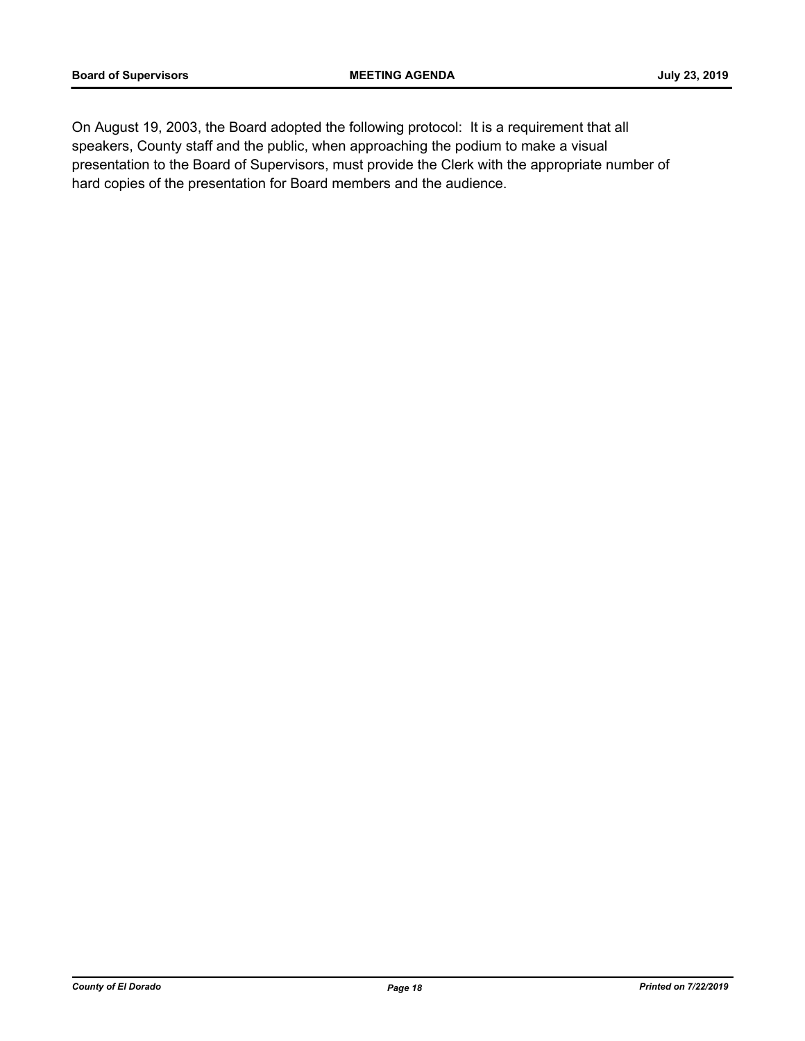On August 19, 2003, the Board adopted the following protocol: It is a requirement that all speakers, County staff and the public, when approaching the podium to make a visual presentation to the Board of Supervisors, must provide the Clerk with the appropriate number of hard copies of the presentation for Board members and the audience.